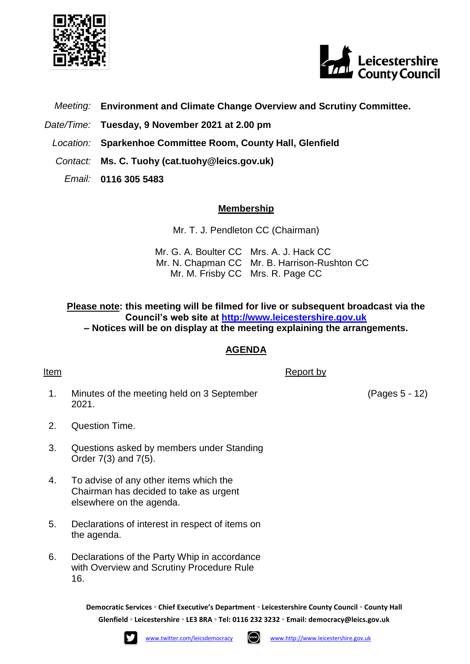



- *Meeting:* **Environment and Climate Change Overview and Scrutiny Committee.**
- *Date/Time:* **Tuesday, 9 November 2021 at 2.00 pm**
- *Location:* **Sparkenhoe Committee Room, County Hall, Glenfield**
- *Contact:* **Ms. C. Tuohy (cat.tuohy@leics.gov.uk)**
	- *Email:* **0116 305 5483**

## **Membership**

Mr. T. J. Pendleton CC (Chairman)

Mr. G. A. Boulter CC Mrs. A. J. Hack CC Mr. N. Chapman CC Mr. B. Harrison-Rushton CC Mr. M. Frisby CC Mrs. R. Page CC

**Please note: this meeting will be filmed for live or subsequent broadcast via the Council's web site at [http://www.leicestershire.gov.uk](http://www.leicestershire.gov.uk/about-the-council/how-the-council-works/public-involvement/watch-council-meetings-online) – Notices will be on display at the meeting explaining the arrangements.**

## **AGENDA**

Item Report by Report by Report by Report by Report by Report by Report by Report by Report by  $\mathbb{R}$ 

1. Minutes of the meeting held on 3 September 2021.

(Pages 5 - 12)

- 2. Question Time.
- 3. Questions asked by members under Standing Order 7(3) and 7(5).
- 4. To advise of any other items which the Chairman has decided to take as urgent elsewhere on the agenda.
- 5. Declarations of interest in respect of items on the agenda.
- 6. Declarations of the Party Whip in accordance with Overview and Scrutiny Procedure Rule 16.

**Democratic Services ◦ Chief Executive's Department ◦ Leicestershire County Council ◦ County Hall Glenfield ◦ Leicestershire ◦ LE3 8RA ◦ Tel: 0116 232 3232 ◦ Email: [democracy@leics.gov.uk](mailto:democracy@leics.gov.uk)**



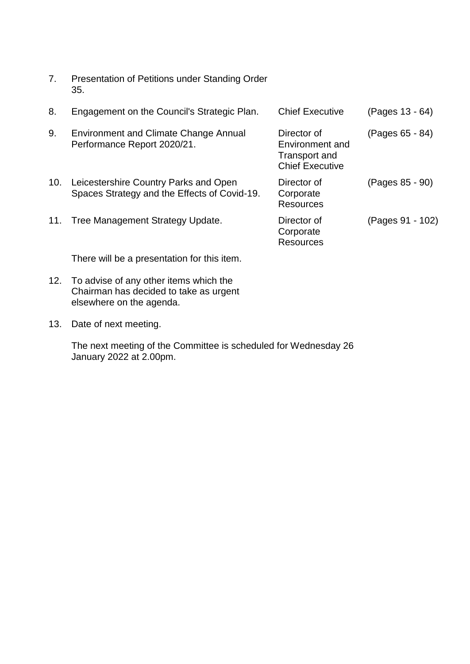| 7.  | Presentation of Petitions under Standing Order<br>35.                                 |                                                                           |                  |
|-----|---------------------------------------------------------------------------------------|---------------------------------------------------------------------------|------------------|
| 8.  | Engagement on the Council's Strategic Plan.                                           | <b>Chief Executive</b>                                                    | (Pages 13 - 64)  |
| 9.  | <b>Environment and Climate Change Annual</b><br>Performance Report 2020/21.           | Director of<br>Environment and<br>Transport and<br><b>Chief Executive</b> | (Pages 65 - 84)  |
| 10. | Leicestershire Country Parks and Open<br>Spaces Strategy and the Effects of Covid-19. | Director of<br>Corporate<br>Resources                                     | (Pages 85 - 90)  |
| 11. | Tree Management Strategy Update.                                                      | Director of<br>Corporate<br><b>Resources</b>                              | (Pages 91 - 102) |
|     | There will be a presentation for this item.                                           |                                                                           |                  |

12. To advise of any other items which the Chairman has decided to take as urgent elsewhere on the agenda.

13. Date of next meeting.

The next meeting of the Committee is scheduled for Wednesday 26 January 2022 at 2.00pm.